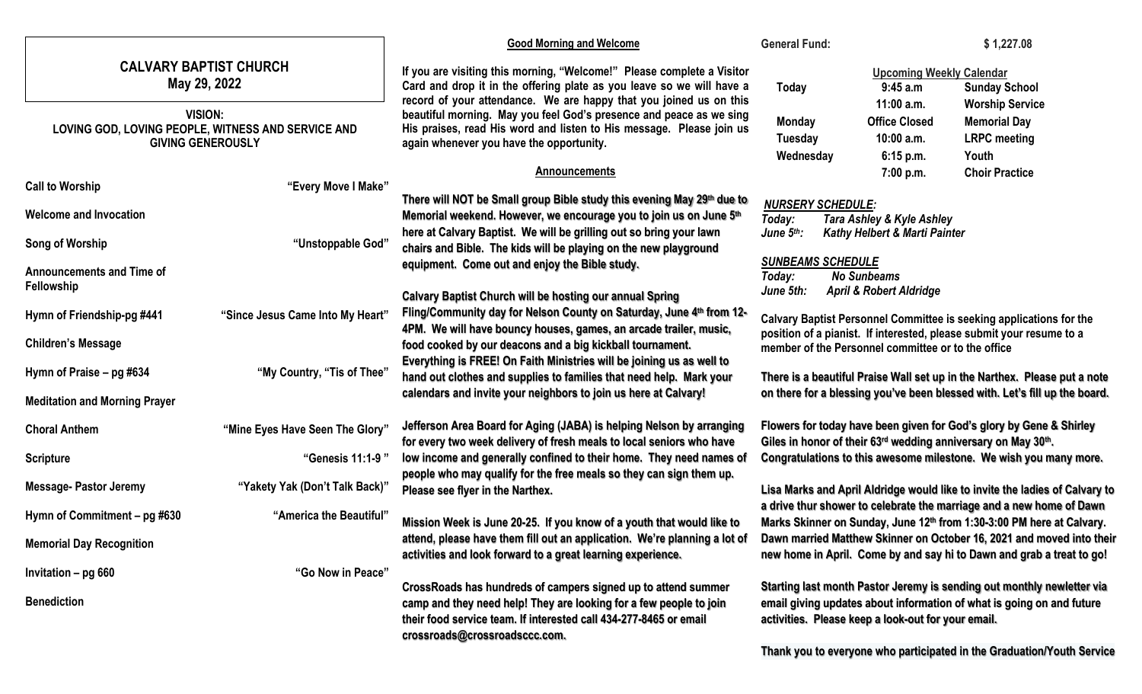|                                                                                                                                                   |                                  | <b>Good Morning and Welcome</b>                                                                                                                                                                                                                                                                                                                                                                                                          | <b>General Fund:</b>                                                                                                                                                                                                                                                                                                                                                                                                                                  |                                                                                                                               | \$1,227.08                                                                                                                                     |
|---------------------------------------------------------------------------------------------------------------------------------------------------|----------------------------------|------------------------------------------------------------------------------------------------------------------------------------------------------------------------------------------------------------------------------------------------------------------------------------------------------------------------------------------------------------------------------------------------------------------------------------------|-------------------------------------------------------------------------------------------------------------------------------------------------------------------------------------------------------------------------------------------------------------------------------------------------------------------------------------------------------------------------------------------------------------------------------------------------------|-------------------------------------------------------------------------------------------------------------------------------|------------------------------------------------------------------------------------------------------------------------------------------------|
| <b>CALVARY BAPTIST CHURCH</b><br>May 29, 2022<br><b>VISION:</b><br>LOVING GOD, LOVING PEOPLE, WITNESS AND SERVICE AND<br><b>GIVING GENEROUSLY</b> |                                  | If you are visiting this morning, "Welcome!" Please complete a Visitor<br>Card and drop it in the offering plate as you leave so we will have a<br>record of your attendance. We are happy that you joined us on this<br>beautiful morning. May you feel God's presence and peace as we sing<br>His praises, read His word and listen to His message. Please join us<br>again whenever you have the opportunity.<br><b>Announcements</b> | Today<br>Monday<br><b>Tuesday</b><br>Wednesday                                                                                                                                                                                                                                                                                                                                                                                                        | <b>Upcoming Weekly Calendar</b><br>9:45 a.m<br>$11:00$ a.m.<br><b>Office Closed</b><br>$10:00$ a.m.<br>6:15 p.m.<br>7:00 p.m. | <b>Sunday School</b><br><b>Worship Service</b><br><b>Memorial Day</b><br><b>LRPC</b> meeting<br>Youth<br><b>Choir Practice</b>                 |
| <b>Call to Worship</b>                                                                                                                            | "Every Move I Make"              |                                                                                                                                                                                                                                                                                                                                                                                                                                          |                                                                                                                                                                                                                                                                                                                                                                                                                                                       |                                                                                                                               |                                                                                                                                                |
| <b>Welcome and Invocation</b><br>Song of Worship                                                                                                  | "Unstoppable God"                | There will NOT be Small group Bible study this evening May 29th due to<br>Memorial weekend. However, we encourage you to join us on June 5th<br>here at Calvary Baptist. We will be grilling out so bring your lawn<br>chairs and Bible. The kids will be playing on the new playground                                                                                                                                                  | <b>NURSERY SCHEDULE:</b><br>Tara Ashley & Kyle Ashley<br>Today:<br>June $5th$ :<br><b>Kathy Helbert &amp; Marti Painter</b>                                                                                                                                                                                                                                                                                                                           |                                                                                                                               |                                                                                                                                                |
| <b>Announcements and Time of</b><br>Fellowship                                                                                                    |                                  | equipment. Come out and enjoy the Bible study.<br><b>Calvary Baptist Church will be hosting our annual Spring</b>                                                                                                                                                                                                                                                                                                                        | <b>SUNBEAMS SCHEDULE</b><br>Today:<br>June 5th:                                                                                                                                                                                                                                                                                                                                                                                                       | <b>No Sunbeams</b><br><b>April &amp; Robert Aldridge</b>                                                                      |                                                                                                                                                |
| Hymn of Friendship-pg #441                                                                                                                        | "Since Jesus Came Into My Heart" | Fling/Community day for Nelson County on Saturday, June 4th from 12-<br>4PM. We will have bouncy houses, games, an arcade trailer, music,                                                                                                                                                                                                                                                                                                | Calvary Baptist Personnel Committee is seeking applications for the<br>position of a pianist. If interested, please submit your resume to a                                                                                                                                                                                                                                                                                                           |                                                                                                                               |                                                                                                                                                |
| <b>Children's Message</b>                                                                                                                         |                                  | food cooked by our deacons and a big kickball tournament.<br>Everything is FREE! On Faith Ministries will be joining us as well to                                                                                                                                                                                                                                                                                                       |                                                                                                                                                                                                                                                                                                                                                                                                                                                       | member of the Personnel committee or to the office                                                                            |                                                                                                                                                |
| Hymn of Praise - pg #634<br><b>Meditation and Morning Prayer</b>                                                                                  | "My Country, "Tis of Thee"       | hand out clothes and supplies to families that need help. Mark your<br>calendars and invite your neighbors to join us here at Calvary!                                                                                                                                                                                                                                                                                                   | There is a beautiful Praise Wall set up in the Narthex. Please put a note<br>on there for a blessing you've been blessed with. Let's fill up the board.                                                                                                                                                                                                                                                                                               |                                                                                                                               |                                                                                                                                                |
| <b>Choral Anthem</b>                                                                                                                              | "Mine Eyes Have Seen The Glory"  | Jefferson Area Board for Aging (JABA) is helping Nelson by arranging<br>for every two week delivery of fresh meals to local seniors who have                                                                                                                                                                                                                                                                                             | Flowers for today have been given for God's glory by Gene & Shirley<br>Giles in honor of their 63rd wedding anniversary on May 30th.<br>Congratulations to this awesome milestone. We wish you many more.<br>Lisa Marks and April Aldridge would like to invite the ladies of Calvary to<br>a drive thur shower to celebrate the marriage and a new home of Dawn<br>Marks Skinner on Sunday, June 12 <sup>th</sup> from 1:30-3:00 PM here at Calvary. |                                                                                                                               |                                                                                                                                                |
| <b>Scripture</b>                                                                                                                                  | "Genesis 11:1-9"                 | low income and generally confined to their home. They need names of<br>people who may qualify for the free meals so they can sign them up.                                                                                                                                                                                                                                                                                               |                                                                                                                                                                                                                                                                                                                                                                                                                                                       |                                                                                                                               |                                                                                                                                                |
| <b>Message- Pastor Jeremy</b>                                                                                                                     | "Yakety Yak (Don't Talk Back)"   | Please see flyer in the Narthex.                                                                                                                                                                                                                                                                                                                                                                                                         |                                                                                                                                                                                                                                                                                                                                                                                                                                                       |                                                                                                                               |                                                                                                                                                |
| Hymn of Commitment – pg #630                                                                                                                      | "America the Beautiful"          | Mission Week is June 20-25. If you know of a youth that would like to                                                                                                                                                                                                                                                                                                                                                                    |                                                                                                                                                                                                                                                                                                                                                                                                                                                       |                                                                                                                               |                                                                                                                                                |
| <b>Memorial Day Recognition</b>                                                                                                                   |                                  | attend, please have them fill out an application. We're planning a lot of<br>activities and look forward to a great learning experience.                                                                                                                                                                                                                                                                                                 |                                                                                                                                                                                                                                                                                                                                                                                                                                                       |                                                                                                                               | Dawn married Matthew Skinner on October 16, 2021 and moved into their<br>new home in April. Come by and say hi to Dawn and grab a treat to go! |
| Invitation - pg 660                                                                                                                               | "Go Now in Peace"                | CrossRoads has hundreds of campers signed up to attend summer                                                                                                                                                                                                                                                                                                                                                                            |                                                                                                                                                                                                                                                                                                                                                                                                                                                       |                                                                                                                               |                                                                                                                                                |
| <b>Benediction</b>                                                                                                                                |                                  | camp and they need help! They are looking for a few people to join<br>their food service team. If interested call 434-277-8465 or email<br>crossroads@crossroadsccc.com.                                                                                                                                                                                                                                                                 | Starting last month Pastor Jeremy is sending out monthly newletter via<br>email giving updates about information of what is going on and future<br>activities. Please keep a look-out for your email.                                                                                                                                                                                                                                                 |                                                                                                                               |                                                                                                                                                |

**Thank you to everyone who participated in the Graduation/Youth Service**